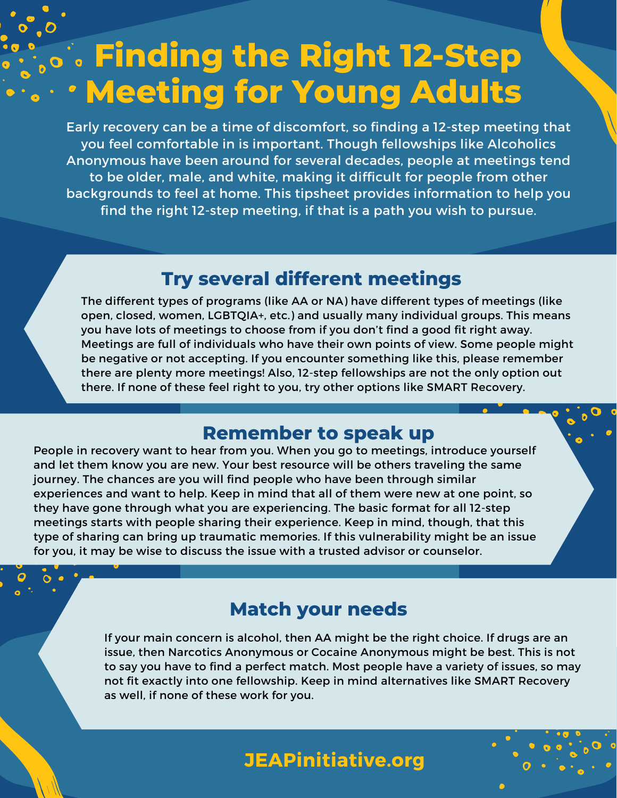# **Finding the Right 12-Step Meeting for Young Adults**

Early recovery can be a time of discomfort, so finding a 12-step meeting that you feel comfortable in is important. Though fellowships like Alcoholics Anonymous have been around for several decades, people at meetings tend to be older, male, and white, making it difficult for people from other backgrounds to feel at home. This tipsheet provides information to help you find the right 12-step meeting, if that is a path you wish to pursue.

#### **Try several different meetings**

The different types of programs (like AA or NA) have different types of meetings (like open, closed, women, LGBTQIA+, etc.) and usually many individual groups. This means you have lots of meetings to choose from if you don't find a good fit right away. Meetings are full of individuals who have their own points of view. Some people might be negative or not accepting. If you encounter something like this, please remember there are plenty more meetings! Also, 12-step fellowships are not the only option out there. If none of these feel right to you, try other options like SMART Recovery.

#### **Remember to speak up**

People in recovery want to hear from you. When you go to meetings, introduce yourself and let them know you are new. Your best resource will be others traveling the same journey. The chances are you will find people who have been through similar experiences and want to help. Keep in mind that all of them were new at one point, so they have gone through what you are experiencing. The basic format for all 12-step meetings starts with people sharing their experience. Keep in mind, though, that this type of sharing can bring up traumatic memories. If this vulnerability might be an issue for you, it may be wise to discuss the issue with a trusted advisor or counselor.

#### **Match your needs**

If your main concern is alcohol, then AA might be the right choice. If drugs are an issue, then Narcotics Anonymous or Cocaine Anonymous might be best. This is not to say you have to find a perfect match. Most people have a variety of issues, so may not fit exactly into one fellowship. Keep in mind alternatives like SMART Recovery as well, if none of these work for you.

## **JEAP[initiative.org](https://www.jeapinitiative.org/)**